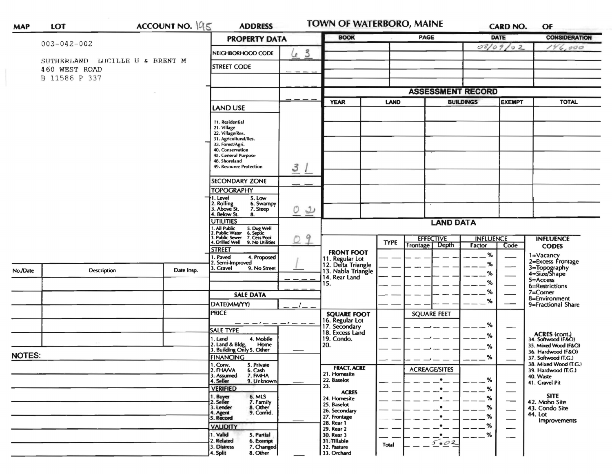| <b>MAP</b>    | ACCOUNT NO. 195<br><b>LOT</b>                   |                   | <b>ADDRESS</b>                                                                                                                                                                         |                               | <b>TOWN OF WATERBORO, MAINE</b>       |                                      | <b>CARD NO.</b>          |                                   | OF                              |                                                                                                                                                                                                                                                                                                                                                                                            |  |
|---------------|-------------------------------------------------|-------------------|----------------------------------------------------------------------------------------------------------------------------------------------------------------------------------------|-------------------------------|---------------------------------------|--------------------------------------|--------------------------|-----------------------------------|---------------------------------|--------------------------------------------------------------------------------------------------------------------------------------------------------------------------------------------------------------------------------------------------------------------------------------------------------------------------------------------------------------------------------------------|--|
|               |                                                 |                   | <b>PROPERTY DATA</b>                                                                                                                                                                   |                               | <b>BOOK</b>                           |                                      | <b>PAGE</b>              |                                   | <b>DATE</b>                     | <b>CONSIDERATION</b>                                                                                                                                                                                                                                                                                                                                                                       |  |
|               | $003 - 042 - 002$                               | NEIGHBORHOOD CODE | $\mathbf{3}$<br>$\mathcal{L}$                                                                                                                                                          |                               |                                       |                                      |                          | 08/09/02                          | 146,000                         |                                                                                                                                                                                                                                                                                                                                                                                            |  |
|               | SUTHERLAND LUCILLE U & BRENT M<br>460 WEST ROAD |                   | <b>STREET CODE</b>                                                                                                                                                                     |                               |                                       |                                      |                          |                                   |                                 |                                                                                                                                                                                                                                                                                                                                                                                            |  |
|               | B 11586 P 337                                   |                   |                                                                                                                                                                                        |                               |                                       |                                      |                          |                                   |                                 |                                                                                                                                                                                                                                                                                                                                                                                            |  |
|               |                                                 |                   |                                                                                                                                                                                        |                               |                                       |                                      | <b>ASSESSMENT RECORD</b> |                                   |                                 |                                                                                                                                                                                                                                                                                                                                                                                            |  |
|               |                                                 |                   | <b>LAND USE</b>                                                                                                                                                                        |                               | <b>YEAR</b>                           | <b>LAND</b>                          |                          | <b>BUILDINGS</b><br><b>EXEMPT</b> |                                 | <b>TOTAL</b>                                                                                                                                                                                                                                                                                                                                                                               |  |
|               |                                                 |                   | 11. Residential<br>21. Village<br>22. Village/Res.<br>31. Agricultural/Res.<br>33. Forest/Agri.<br>40. Conservation<br>45. General Purpose<br>48. Shoreland<br>49. Resource Protection | 3                             |                                       |                                      |                          |                                   |                                 |                                                                                                                                                                                                                                                                                                                                                                                            |  |
|               |                                                 |                   | <b>SECONDARY ZONE</b>                                                                                                                                                                  |                               |                                       |                                      |                          |                                   |                                 |                                                                                                                                                                                                                                                                                                                                                                                            |  |
|               |                                                 |                   | <b>TOPOGRAPHY</b>                                                                                                                                                                      |                               |                                       |                                      |                          |                                   |                                 |                                                                                                                                                                                                                                                                                                                                                                                            |  |
|               |                                                 |                   | 5. Low<br>I. Level<br>2. Rolling<br>3. Above St.<br>6. Swampy<br>7. Steep<br>4. Below St.<br>8.                                                                                        | O<br>$\overline{\mathcal{L}}$ |                                       |                                      |                          |                                   |                                 |                                                                                                                                                                                                                                                                                                                                                                                            |  |
|               |                                                 |                   | <b>UTILITIES</b>                                                                                                                                                                       |                               |                                       | <b>LAND DATA</b><br><b>EFFECTIVE</b> |                          |                                   |                                 |                                                                                                                                                                                                                                                                                                                                                                                            |  |
|               |                                                 |                   | 1. All Public<br>2. Public Water<br>5. Dug Well<br>6. Septic<br>7. Cess Pool<br>3. Public Sewer<br>4. Drilled Well                                                                     | 9                             |                                       |                                      |                          | <b>INFLUENCE</b>                  |                                 | <b>INFLUENCE</b>                                                                                                                                                                                                                                                                                                                                                                           |  |
|               |                                                 |                   | 9. No Utilities<br><b>STREET</b>                                                                                                                                                       |                               | <b>FRONT FOOT</b>                     | <b>TYPE</b>                          | Depth<br>Frontage        | Factor                            | Code                            | <b>CODES</b>                                                                                                                                                                                                                                                                                                                                                                               |  |
|               |                                                 |                   | 1. Paved<br>4. Proposed<br>2. Semi-Improved                                                                                                                                            |                               | 11. Regular Lot<br>12. Delta Triangle |                                      |                          | %                                 |                                 |                                                                                                                                                                                                                                                                                                                                                                                            |  |
| No./Date      | Description                                     | Date Insp.        | . Gravel<br>9. No Street                                                                                                                                                               |                               | 13. Nabla Triangle                    |                                      |                          | %<br>%                            |                                 |                                                                                                                                                                                                                                                                                                                                                                                            |  |
|               |                                                 |                   |                                                                                                                                                                                        |                               | 14. Rear Land<br>15.                  |                                      |                          | %                                 |                                 | 5=Access                                                                                                                                                                                                                                                                                                                                                                                   |  |
|               |                                                 |                   |                                                                                                                                                                                        |                               |                                       |                                      |                          | %                                 |                                 |                                                                                                                                                                                                                                                                                                                                                                                            |  |
|               |                                                 |                   | <b>SALE DATA</b>                                                                                                                                                                       |                               |                                       |                                      |                          | %                                 |                                 | 8=Environment                                                                                                                                                                                                                                                                                                                                                                              |  |
|               |                                                 |                   | DATE(MM/YY)<br><b>PRICE</b>                                                                                                                                                            |                               |                                       |                                      |                          |                                   |                                 |                                                                                                                                                                                                                                                                                                                                                                                            |  |
|               |                                                 |                   |                                                                                                                                                                                        |                               | <b>SQUARE FOOT</b><br>16. Regular Lot |                                      | <b>SQUARE FEET</b>       |                                   |                                 | 1=Vacancy<br>2=Excess Frontage<br>3=Topography<br>4=Size/Shape<br>6=Restrictions<br>7=Corner<br>9=Fractional Share<br>ACRES (cont.)<br>34. Softwood (F&O)<br>35. Mixed Wood (F&O)<br>36. Hardwood (F&O)<br>37. Softwood (T.G.)<br>38. Mixed Wood (T.G.)<br>39. Hardwood (T.G.)<br>40. Waste<br>41. Gravel Pit<br><b>SITE</b><br>42. Moho Site<br>43. Condo Site<br>44. Lot<br>Improvements |  |
|               |                                                 |                   | — — — / — —<br><b>SALE TYPE</b>                                                                                                                                                        | $-1 - -$                      | 17. Secondary                         |                                      |                          | %                                 | —                               |                                                                                                                                                                                                                                                                                                                                                                                            |  |
|               |                                                 |                   | 1. Land<br>4. Mobile                                                                                                                                                                   |                               | 18. Excess Land<br>19. Condo.         |                                      |                          | ℅                                 | —                               |                                                                                                                                                                                                                                                                                                                                                                                            |  |
|               |                                                 |                   | 2. Land & Bldg. Home<br>3. Building Only 5. Other<br>Home                                                                                                                              |                               | 20.                                   |                                      |                          | %                                 |                                 |                                                                                                                                                                                                                                                                                                                                                                                            |  |
| <b>NOTES:</b> |                                                 |                   | <b>FINANCING</b>                                                                                                                                                                       |                               |                                       |                                      |                          | %                                 |                                 |                                                                                                                                                                                                                                                                                                                                                                                            |  |
|               |                                                 |                   | 1. Conv. 5. Private                                                                                                                                                                    |                               | <b>FRACT. ACRE</b>                    |                                      | <b>ACREAGE/SITES</b>     |                                   |                                 |                                                                                                                                                                                                                                                                                                                                                                                            |  |
|               |                                                 |                   | 2. FHAVA<br>6. Cash<br>3. Assumed<br>7. FMHA                                                                                                                                           |                               | 21. Homesite                          |                                      |                          |                                   |                                 |                                                                                                                                                                                                                                                                                                                                                                                            |  |
|               |                                                 |                   | 4. Seller<br>9. Unknown                                                                                                                                                                |                               | 22. Baselot<br>23.                    |                                      | $\bullet$                | %                                 |                                 |                                                                                                                                                                                                                                                                                                                                                                                            |  |
|               |                                                 |                   | <b>VERIFIED</b><br>6. MLS                                                                                                                                                              |                               | <b>ACRES</b>                          |                                      | $\bullet$                | %                                 |                                 |                                                                                                                                                                                                                                                                                                                                                                                            |  |
|               |                                                 |                   | 1. Buyer<br>2. Seller<br>7. Family                                                                                                                                                     |                               | 24. Homesite<br>25. Baselot           |                                      |                          | ℅                                 | $\hspace{0.1cm}$                |                                                                                                                                                                                                                                                                                                                                                                                            |  |
|               |                                                 |                   | 8. Other<br>3. Lender<br>9. Confid.<br>4. Agent                                                                                                                                        |                               | 26. Secondary                         |                                      |                          |                                   | $\overline{\phantom{0}}$        |                                                                                                                                                                                                                                                                                                                                                                                            |  |
|               |                                                 |                   | 5. Record                                                                                                                                                                              |                               | 27. Frontage<br>28. Rear 1            |                                      |                          | ℅                                 | $\hspace{0.1mm}-\hspace{0.1mm}$ |                                                                                                                                                                                                                                                                                                                                                                                            |  |
|               |                                                 |                   | <b>VALIDITY</b>                                                                                                                                                                        |                               | 29. Rear 2                            |                                      |                          | %                                 | $\hspace{0.05cm}$               |                                                                                                                                                                                                                                                                                                                                                                                            |  |
|               |                                                 |                   | 2. Related<br>6. Exempt<br>3. Distress<br>7. Changed                                                                                                                                   |                               | 31. Tillable<br>32. Pasture           | Total                                | 5.02                     |                                   |                                 |                                                                                                                                                                                                                                                                                                                                                                                            |  |
|               |                                                 |                   | 1. Valid<br>5. Partial<br>4. Split<br>8. Other                                                                                                                                         |                               | 30. Rear 3<br>33. Orchard             |                                      | $\bullet$ $\!\!-\!\!$    | %                                 |                                 |                                                                                                                                                                                                                                                                                                                                                                                            |  |